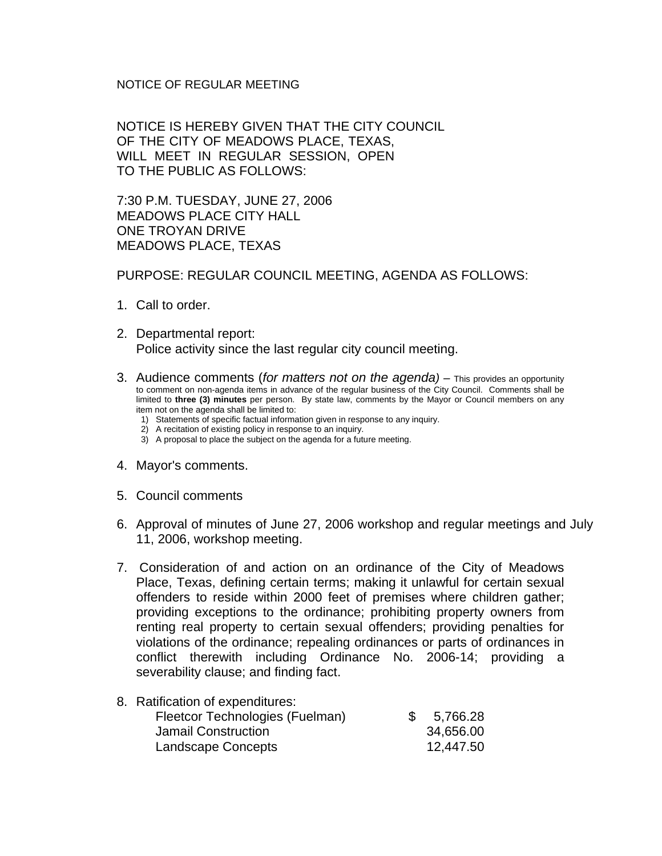## NOTICE OF REGULAR MEETING

NOTICE IS HEREBY GIVEN THAT THE CITY COUNCIL OF THE CITY OF MEADOWS PLACE, TEXAS, WILL MEET IN REGULAR SESSION, OPEN TO THE PUBLIC AS FOLLOWS:

7:30 P.M. TUESDAY, JUNE 27, 2006 MEADOWS PLACE CITY HALL ONE TROYAN DRIVE MEADOWS PLACE, TEXAS

## PURPOSE: REGULAR COUNCIL MEETING, AGENDA AS FOLLOWS:

- 1. Call to order.
- 2. Departmental report: Police activity since the last regular city council meeting.
- 3. Audience comments (*for matters not on the agenda)* This provides an opportunity to comment on non-agenda items in advance of the regular business of the City Council. Comments shall be limited to **three (3) minutes** per person. By state law, comments by the Mayor or Council members on any item not on the agenda shall be limited to:
	- 1) Statements of specific factual information given in response to any inquiry.
	- 2) A recitation of existing policy in response to an inquiry.
	- 3) A proposal to place the subject on the agenda for a future meeting.
- 4. Mayor's comments.
- 5. Council comments
- 6. Approval of minutes of June 27, 2006 workshop and regular meetings and July 11, 2006, workshop meeting.
- 7. Consideration of and action on an ordinance of the City of Meadows Place, Texas, defining certain terms; making it unlawful for certain sexual offenders to reside within 2000 feet of premises where children gather; providing exceptions to the ordinance; prohibiting property owners from renting real property to certain sexual offenders; providing penalties for violations of the ordinance; repealing ordinances or parts of ordinances in conflict therewith including Ordinance No. 2006-14; providing a severability clause; and finding fact.

## 8. Ratification of expenditures: Fleetcor Technologies (Fuelman) \$ 5,766.28 Jamail Construction 34,656.00 Landscape Concepts 12,447.50